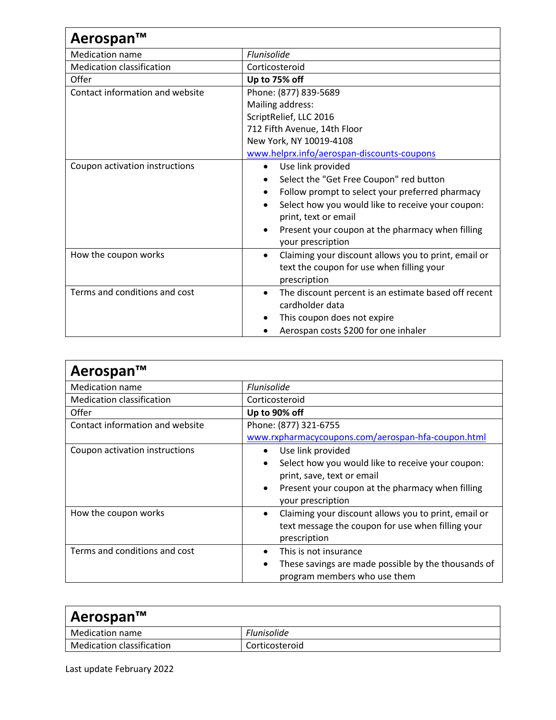| Aerospan™                        |                                                                   |
|----------------------------------|-------------------------------------------------------------------|
| <b>Medication name</b>           | Flunisolide                                                       |
| <b>Medication classification</b> | Corticosteroid                                                    |
| Offer                            | Up to 75% off                                                     |
| Contact information and website  | Phone: (877) 839-5689                                             |
|                                  | Mailing address:                                                  |
|                                  | ScriptRelief, LLC 2016                                            |
|                                  | 712 Fifth Avenue, 14th Floor                                      |
|                                  | New York, NY 10019-4108                                           |
|                                  | www.helprx.info/aerospan-discounts-coupons                        |
| Coupon activation instructions   | Use link provided<br>$\bullet$                                    |
|                                  | Select the "Get Free Coupon" red button<br>$\bullet$              |
|                                  | Follow prompt to select your preferred pharmacy<br>$\bullet$      |
|                                  | Select how you would like to receive your coupon:                 |
|                                  | print, text or email                                              |
|                                  | Present your coupon at the pharmacy when filling                  |
|                                  | your prescription                                                 |
| How the coupon works             | Claiming your discount allows you to print, email or<br>$\bullet$ |
|                                  | text the coupon for use when filling your                         |
|                                  | prescription                                                      |
| Terms and conditions and cost    | The discount percent is an estimate based off recent<br>$\bullet$ |
|                                  | cardholder data                                                   |
|                                  | This coupon does not expire                                       |
|                                  | Aerospan costs \$200 for one inhaler                              |

| Aerospan™                        |                                                                                    |
|----------------------------------|------------------------------------------------------------------------------------|
| <b>Medication name</b>           | Flunisolide                                                                        |
| <b>Medication classification</b> | Corticosteroid                                                                     |
| Offer                            | Up to 90% off                                                                      |
| Contact information and website  | Phone: (877) 321-6755                                                              |
|                                  | www.rxpharmacycoupons.com/aerospan-hfa-coupon.html                                 |
| Coupon activation instructions   | Use link provided<br>$\bullet$                                                     |
|                                  | Select how you would like to receive your coupon:<br>$\bullet$                     |
|                                  | print, save, text or email                                                         |
|                                  | Present your coupon at the pharmacy when filling<br>$\bullet$<br>your prescription |
| How the coupon works             | Claiming your discount allows you to print, email or<br>$\bullet$                  |
|                                  | text message the coupon for use when filling your                                  |
|                                  | prescription                                                                       |
| Terms and conditions and cost    | This is not insurance                                                              |
|                                  | These savings are made possible by the thousands of                                |
|                                  | program members who use them                                                       |

| Aerospan™                 |                    |  |
|---------------------------|--------------------|--|
| Medication name           | <b>Flunisolide</b> |  |
| Medication classification | Corticosteroid     |  |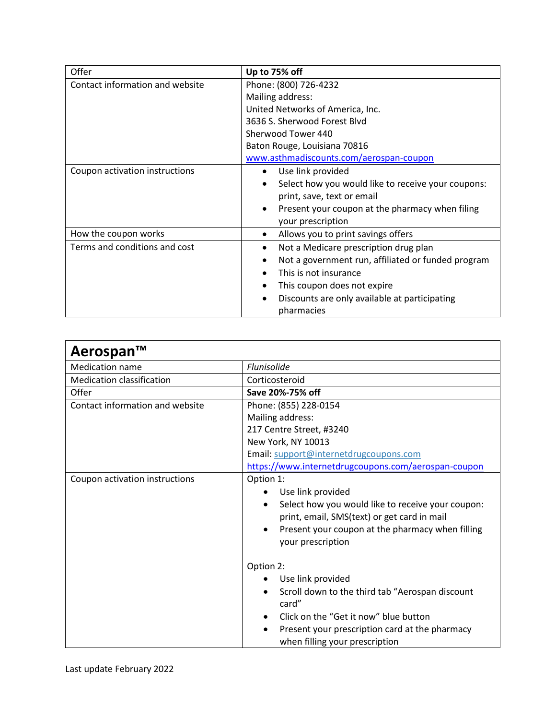| Offer                           | Up to 75% off                                      |
|---------------------------------|----------------------------------------------------|
| Contact information and website | Phone: (800) 726-4232                              |
|                                 | Mailing address:                                   |
|                                 | United Networks of America, Inc.                   |
|                                 | 3636 S. Sherwood Forest Blyd                       |
|                                 | Sherwood Tower 440                                 |
|                                 | Baton Rouge, Louisiana 70816                       |
|                                 | www.asthmadiscounts.com/aerospan-coupon            |
| Coupon activation instructions  | Use link provided<br>$\bullet$                     |
|                                 | Select how you would like to receive your coupons: |
|                                 | print, save, text or email                         |
|                                 | Present your coupon at the pharmacy when filing    |
|                                 | your prescription                                  |
| How the coupon works            | Allows you to print savings offers<br>٠            |
| Terms and conditions and cost   | Not a Medicare prescription drug plan              |
|                                 | Not a government run, affiliated or funded program |
|                                 | This is not insurance                              |
|                                 | This coupon does not expire                        |
|                                 | Discounts are only available at participating      |
|                                 | pharmacies                                         |

| Aerospan™                        |                                                                                                                                                                                                                                       |
|----------------------------------|---------------------------------------------------------------------------------------------------------------------------------------------------------------------------------------------------------------------------------------|
| <b>Medication name</b>           | <b>Flunisolide</b>                                                                                                                                                                                                                    |
| <b>Medication classification</b> | Corticosteroid                                                                                                                                                                                                                        |
| Offer                            | Save 20%-75% off                                                                                                                                                                                                                      |
| Contact information and website  | Phone: (855) 228-0154                                                                                                                                                                                                                 |
|                                  | Mailing address:                                                                                                                                                                                                                      |
|                                  | 217 Centre Street, #3240                                                                                                                                                                                                              |
|                                  | New York, NY 10013                                                                                                                                                                                                                    |
|                                  | Email: support@internetdrugcoupons.com                                                                                                                                                                                                |
|                                  | https://www.internetdrugcoupons.com/aerospan-coupon                                                                                                                                                                                   |
| Coupon activation instructions   | Option 1:<br>Use link provided<br>Select how you would like to receive your coupon:<br>$\bullet$<br>print, email, SMS(text) or get card in mail<br>Present your coupon at the pharmacy when filling<br>$\bullet$<br>your prescription |
|                                  | Option 2:<br>Use link provided<br>Scroll down to the third tab "Aerospan discount<br>card"<br>Click on the "Get it now" blue button<br>Present your prescription card at the pharmacy<br>$\bullet$<br>when filling your prescription  |